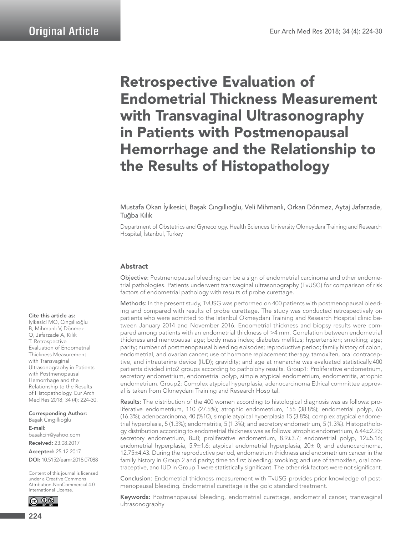# Retrospective Evaluation of Endometrial Thickness Measurement with Transvaginal Ultrasonography in Patients with Postmenopausal Hemorrhage and the Relationship to the Results of Histopathology

Mustafa Okan İyikesici, Başak Cıngıllıoğlu, Veli Mihmanlı, Orkan Dönmez, Aytaj Jafarzade, Tuğba Kılık

Department of Obstetrics and Gynecology, Health Sciences University Okmeydanı Training and Research Hospital, İstanbul, Turkey

#### Abstract

Objective: Postmenopausal bleeding can be a sign of endometrial carcinoma and other endometrial pathologies. Patients underwent transvaginal ultrasonography (TvUSG) for comparison of risk factors of endometrial pathology with results of probe curettage.

Methods: In the present study, TvUSG was performed on 400 patients with postmenopausal bleeding and compared with results of probe curettage. The study was conducted retrospectively on patients who were admitted to the İstanbul Okmeydanı Training and Research Hospital clinic between January 2014 and November 2016. Endometrial thickness and biopsy results were compared among patients with an endometrial thickness of >4 mm. Correlation between endometrial thickness and menopausal age; body mass index; diabetes mellitus; hypertension; smoking; age; parity; number of postmenopausal bleeding episodes; reproductive period; family history of colon, endometrial, and ovarian cancer; use of hormone replacement therapy, tamoxifen, oral contraceptive, and intrauterine device (IUD); gravidity; and age at menarche was evaluated statistically.400 patients divided into2 groups according to patholohy results. Group1: Proliferative endometrium, secretory endometrium, endometrial polyp, simple atypical endometrium, endometritis, atrophic endometrium. Group2: Complex atypical hyperplasia, adenocarcinoma Ethical committee approval is taken from Okmeydanı Training and Research Hospital.

Results: The distribution of the 400 women according to histological diagnosis was as follows: proliferative endometrium, 110 (27.5%); atrophic endometrium, 155 (38.8%); endometrial polyp, 65 (16.3%); adenocarcinoma, 40 (%10), simple atypical hyperplasia 15 (3.8%), complex atypical endometrial hyperplasia, 5 (1.3%); endometritis, 5 (1.3%); and secretory endometrium, 5 (1.3%). Histopathology distribution according to endometrial thickness was as follows: atrophic endometrium, 6.44±2.23; secretory endometrium, 8±0; proliferative endometrium, 8.9±3.7; endometrial polyp, 12±5.16; endometrial hyperplasia, 5.9±1.6; atypical endometrial hyperplasia, 20± 0; and adenocarcinoma, 12.75±4.43. During the reproductive period, endometrium thickness and endometrium cancer in the family history in Group 2 and parity; time to first bleeding; smoking; and use of tamoxifen, oral contraceptive, and IUD in Group 1 were statistically significant. The other risk factors were not significant.

Conclusion: Endometrial thickness measurement with TvUSG provides prior knowledge of postmenopausal bleeding. Endometrial curettage is the gold standard treatment.

Keywords: Postmenopausal bleeding, endometrial curettage, endometrial cancer, transvaginal ultrasonography

#### Cite this article as:

İyikesici MO, Cıngıllıoğlu B, Mihmanlı V, Dönmez O, Jafarzade A, Kılık T. Retrospective Evaluation of Endometrial Thickness Measurement with Transvaginal Ultrasonography in Patients with Postmenopausal Hemorrhage and the Relationship to the Results of Histopathology. Eur Arch Med Res 2018; 34 (4): 224-30.

Corresponding Author: Başak Cıngıllıoğlu E-mail: basakcin@yahoo.com Received: 23.08.2017 Accepted: 25.12.2017

DOI: 10.5152/eamr.2018.07088

Content of this journal is licensed under a Creative Commons Attribution-NonCommercial 4.0 International License.

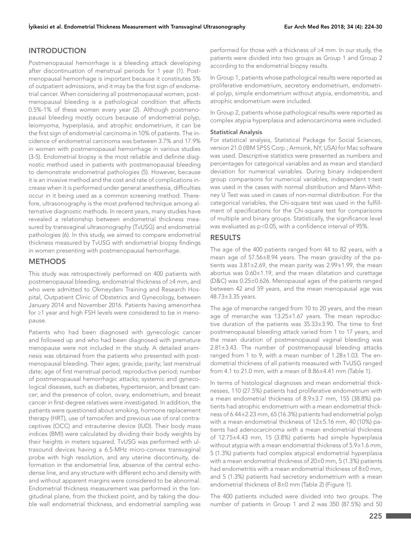# INTRODUCTION

Postmenopausal hemorrhage is a bleeding attack developing after discontinuation of menstrual periods for 1 year (1). Postmenopausal hemorrhage is important because it constitutes 5% of outpatient admissions, and it may be the first sign of endometrial cancer. When considering all postmenopausal women, postmenopausal bleeding is a pathological condition that affects 0.5%-1% of these women every year (2). Although postmenopausal bleeding mostly occurs because of endometrial polyp, leiomyoma, hyperplasia, and atrophic endometrium, it can be the first sign of endometrial carcinoma in 10% of patients. The incidence of endometrial carcinoma was between 3.7% and 17.9% in women with postmenopausal hemorrhage in various studies (3-5). Endometrial biopsy is the most reliable and definite diagnostic method used in patients with postmenopausal bleeding to demonstrate endometrial pathologies (5). However, because it is an invasive method and the cost and rate of complications increase when it is performed under general anesthesia, difficulties occur in it being used as a common screening method. Therefore, ultrasonography is the most preferred technique among alternative diagnostic methods. In recent years, many studies have revealed a relationship between endometrial thickness measured by transvaginal ultrasonography (TvUSG) and endometrial pathologies (6). In this study, we aimed to compare endometrial thickness measured by TvUSG with endometrial biopsy findings in women presenting with postmenopausal hemorrhage.

### **METHODS**

This study was retrospectively performed on 400 patients with postmenopausal bleeding, endometrial thickness of ≥4 mm, and who were admitted to Okmeydanı Training and Research Hospital, Outpatient Clinic of Obstetrics and Gynecology, between January 2014 and November 2016. Patients having amenorrhea for ≥1 year and high FSH levels were considered to be in menopause.

Patients who had been diagnosed with gynecologic cancer and followed up and who had been diagnosed with premature menopause were not included in the study. A detailed anamnesis was obtained from the patients who presented with postmenopausal bleeding. Their ages; gravida; parity; last menstrual date; age of first menstrual period; reproductive period; number of postmenopausal hemorrhagic attacks; systemic and gynecological diseases, such as diabetes, hypertension, and breast cancer; and the presence of colon, ovary, endometrium, and breast cancer in first-degree relatives were investigated. In addition, the patients were questioned about smoking, hormone replacement therapy (HRT), use of tamoxifen and previous use of oral contraceptives (OCC) and intrauterine device (IUD). Their body mass indices (BMI) were calculated by dividing their body weights by their heights in meters squared. TvUSG was performed with ultrasound devices having a 6.5-MHz micro-convex transvaginal probe with high resolution, and any uterine discontinuity, deformation in the endometrial line, absence of the central echodense line, and any structure with different echo and density with and without apparent margins were considered to be abnormal. Endometrial thickness measurement was performed in the longitudinal plane, from the thickest point, and by taking the double wall endometrial thickness, and endometrial sampling was

performed for those with a thickness of ≥4 mm. In our study, the patients were divided into two groups as Group 1 and Group 2 according to the endometrial biopsy results.

In Group 1, patients whose pathological results were reported as proliferative endometrium, secretory endometrium, endometrial polyp, simple endometrium without atypia, endometritis, and atrophic endometrium were included.

In Group 2, patients whose pathological results were reported as complex atypia hyperplasia and adenocarcinoma were included.

#### Statistical Analysis

For statistical analysis, Statistical Package for Social Sciences, version 21.0 (IBM SPSS Corp.; Armonk, NY, USA) for Mac software was used. Descriptive statistics were presented as numbers and percentages for categorical variables and as mean and standard deviation for numerical variables. During binary independent group comparisons for numerical variables, independent t-test was used in the cases with normal distribution and Mann-Whitney U Test was used in cases of non-normal distribution. For the categorical variables, the Chi-square test was used in the fulfillment of specifications for the Chi-square test for comparisons of multiple and binary groups. Statistically, the significance level was evaluated as p<0.05, with a confidence interval of 95%.

#### RESULTS

The age of the 400 patients ranged from 44 to 82 years, with a mean age of 57.56±8.94 years. The mean gravidity of the patients was 3.81±2.69, the mean parity was 2.99±1.99, the mean abortus was 0.60±1.19, and the mean dilatation and curettage (D&C) was 0.25±0.626. Menopausal ages of the patients ranged between 42 and 59 years, and the mean menopausal age was 48.73±3.35 years.

The age of menarche ranged from 10 to 20 years, and the mean age of menarche was 13.25±1.67 years. The mean reproductive duration of the patients was 35.33±3.90. The time to first postmenopausal bleeding attack varied from 1 to 17 years, and the mean duration of postmenopausal vaginal bleeding was 2.81±3.43. The number of postmenopausal bleeding attacks ranged from 1 to 9, with a mean number of 1.28±1.03. The endometrial thickness of all patients measured with TvUSG ranged from 4.1 to 21.0 mm, with a mean of 8.86±4.41 mm (Table 1).

In terms of histological diagnoses and mean endometrial thicknesses, 110 (27.5%) patients had proliferative endometrium with a mean endometrial thickness of 8.9±3.7 mm, 155 (38.8%) patients had atrophic endometrium with a mean endometrial thickness of 6.44±2.23 mm, 65 (16.3%) patients had endometrial polyp with a mean endometrial thickness of 12±5.16 mm, 40 (10%) patients had adenocarcinoma with a mean endometrial thickness of 12.75±4.43 mm, 15 (3.8%) patients had simple hyperplasia without atypia with a mean endometrial thickness of 5.9±1.6 mm, 5 (1.3%) patients had complex atypical endometrial hyperplasia with a mean endometrial thickness of 20±0 mm, 5 (1.3%) patients had endometritis with a mean endometrial thickness of 8±0 mm, and 5 (1.3%) patients had secretory endometrium with a mean endometrial thickness of 8±0 mm (Table 2) (Figure 1).

The 400 patients included were divided into two groups. The number of patients in Group 1 and 2 was 350 (87.5%) and 50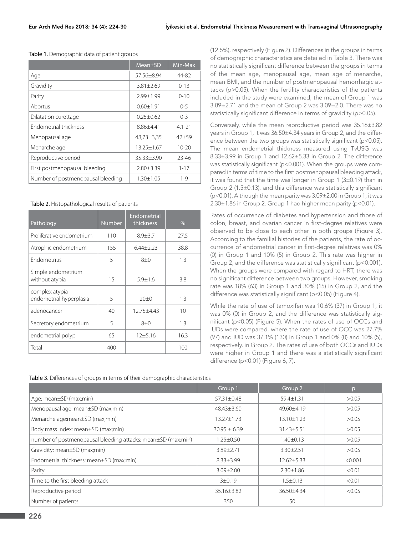| Table 1. Demographic data of patient groups |  |  |  |
|---------------------------------------------|--|--|--|
|---------------------------------------------|--|--|--|

|                                   | Mean±SD          | Min-Max    |
|-----------------------------------|------------------|------------|
| Age                               | 57.56+8.94       | 44-82      |
| Gravidity                         | $3.81 + 2.69$    | $0 - 13$   |
| Parity                            | $7.99 + 1.99$    | $0 - 10$   |
| Abortus                           | $0.60 + 1.91$    | $0 - 5$    |
| Dilatation curettage              | $0.25 + 0.62$    | $0 - 3$    |
| Endometrial thickness             | $8.86 + 4.41$    | $4.1 - 21$ |
| Menopausal age                    | $48,73 \pm 3,35$ | $42 + 59$  |
| Menarche age                      | $13.25 + 1.67$   | $10 - 20$  |
| Reproductive period               | $35.33 + 3.90$   | 23-46      |
| First postmenopausal bleeding     | $2.80 + 3.39$    | $1 - 17$   |
| Number of postmenopausal bleeding | $1.30 + 1.05$    | $1 - 9$    |

Table 2. Histopathological results of patients

| Pathology                                 | <b>Number</b> | <b>Endometrial</b><br>thickness | %    |
|-------------------------------------------|---------------|---------------------------------|------|
| Proliferative endometrium                 | 110           | $8.9 + 3.7$                     | 27.5 |
| Atrophic endometrium                      | 155           | $6.44 + 2.23$                   | 38.8 |
| <b>Fndometritis</b>                       | 5             | $8+0$                           | 1.3  |
| Simple endometrium<br>without atypia      | 15            | $5.9 + 1.6$                     | 3.8  |
| complex atypia<br>endometrial hyperplasia | 5             | $20+0$                          | 1.3  |
| adenocancer                               | 40            | $12.75 + 4.43$                  | 10   |
| Secretory endometrium                     | 5             | $8+0$                           | 1.3  |
| endometrial polyp                         | 65            | 12±5.16                         | 16.3 |
| Total                                     | 400           |                                 | 100  |

Table 3. Differences of groups in terms of their demographic characteristics

(12.5%), respectively (Figure 2). Differences in the groups in terms of demographic characteristics are detailed in Table 3. There was no statistically significant difference between the groups in terms of the mean age, menopausal age, mean age of menarche, mean BMI, and the number of postmenopausal hemorrhagic attacks (p>0.05). When the fertility characteristics of the patients included in the study were examined, the mean of Group 1 was 3.89±2.71 and the mean of Group 2 was 3.09±2.0. There was no statistically significant difference in terms of gravidity (p>0.05).

Conversely, while the mean reproductive period was 35.16±3.82 years in Group 1, it was 36.50±4.34 years in Group 2, and the difference between the two groups was statistically significant (p<0.05). The mean endometrial thickness measured using TvUSG was 8.33±3.99 in Group 1 and 12.62±5.33 in Group 2. The difference was statistically significant (p<0.001). When the groups were compared in terms of time to the first postmenopausal bleeding attack, it was found that the time was longer in Group 1 (3±0.19) than in Group 2 (1.5±0.13), and this difference was statistically significant (p<0.01). Although the mean parity was 3.09±2.00 in Group 1, it was 2.30±1.86 in Group 2. Group 1 had higher mean parity (p<0.01).

Rates of occurrence of diabetes and hypertension and those of colon, breast, and ovarian cancer in first-degree relatives were observed to be close to each other in both groups (Figure 3). According to the familial histories of the patients, the rate of occurrence of endometrial cancer in first-degree relatives was 0% (0) in Group 1 and 10% (5) in Group 2. This rate was higher in Group 2, and the difference was statistically significant (p<0.001). When the groups were compared with regard to HRT, there was no significant difference between two groups. However, smoking rate was 18% (63) in Group 1 and 30% (15) in Group 2, and the difference was statistically significant (p<0.05) (Figure 4).

While the rate of use of tamoxifen was 10.6% (37) in Group 1, it was 0% (0) in Group 2, and the difference was statistically significant (p<0.05) (Figure 5). When the rates of use of OCCs and IUDs were compared, where the rate of use of OCC was 27.7% (97) and IUD was 37.1% (130) in Group 1 and 0% (0) and 10% (5), respectively, in Group 2. The rates of use of both OCCs and IUDs were higher in Group 1 and there was a statistically significant difference (p<0.01) (Figure 6, 7).

|                                                              | Group 1          | Group 2          | D       |
|--------------------------------------------------------------|------------------|------------------|---------|
| Age: mean±SD (max;min)                                       | $57.31 \pm 0.48$ | $59.4 \pm 1.31$  | >0.05   |
| Menopausal age: mean±SD (max;min)                            | $48.43 + 3.60$   | 49.60±4.19       | >0.05   |
| Menarche age:mean±SD (max;min)                               | $13.27 \pm 1.73$ | 13.10±1.23       | >0.05   |
| Body mass index: mean±SD (max;min)                           | $30.95 \pm 6.39$ | $31.43 \pm 5.51$ | >0.05   |
| number of postmenopausal bleeding attacks: mean±SD (max;min) | $1.25 + 0.50$    | $1.40 \pm 0.13$  | >0.05   |
| Gravidity: mean±SD (max;min)                                 | 3.89±2.71        | $3.30 \pm 2.51$  | >0.05   |
| Endometrial thickness: mean±SD (max;min)                     | $8.33 \pm 3.99$  | $12.62 \pm 5.33$ | < 0.001 |
| Parity                                                       | $3.09 \pm 2.00$  | $2.30 \pm 1.86$  | < 0.01  |
| Time to the first bleeding attack                            | 3±0.19           | $1.5 \pm 0.13$   | < 0.01  |
| Reproductive period                                          | 35.16±3.82       | 36.50±4.34       | < 0.05  |
| Number of patients                                           | 350              | 50               |         |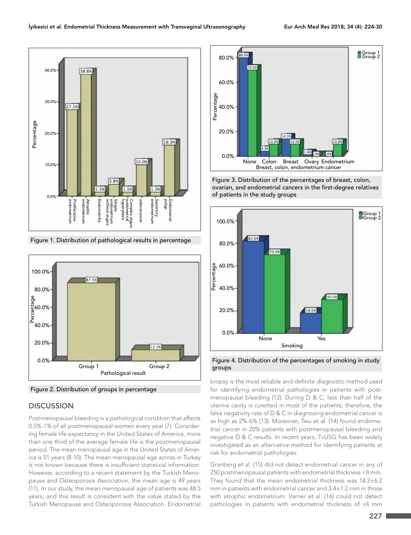



Figure 2. Distribution of groups in percentage

## **DISCUSSION**

Postmenopausal bleeding is a pathological condition that affects 0.5%-1% of all postmenopausal women every year (7). Considering female life expectancy in the United States of America, more than one third of the average female life is the postmenopausal period. The mean menopausal age in the United States of America is 51 years (8-10). The mean menopausal age across in Turkey is not known because there is insufficient statistical information. However, according to a recent statement by the Turkish Menopause and Osteoporosis Association, the mean age is 49 years (11). In our study, the mean menopausal age of patients was 48.5 years, and this result is consistent with the value stated by the Turkish Menopause and Osteoporosis Association. Endometrial



Figure 3. Distribution of the percentages of breast, colon, ovarian, and endometrial cancers in the first-degree relatives of patients in the study groups



Figure 4. Distribution of the percentages of smoking in study groups

biopsy is the most reliable and definite diagnostic method used for identifying endometrial pathologies in patients with postmenopausal bleeding (12). During D & C, less than half of the uterine cavity is curetted in most of the patients; therefore, the false negativity rate of D & C in diagnosing endometrial cancer is as high as 2%-6% (13). Moreover, Twu et al. (14) found endometrial cancer in 20% patients with postmenopausal bleeding and negative D & C results. In recent years, TvUSG has been widely investigated as an alternative method for identifying patients at risk for endometrial pathologies.

Granberg et al. (15) did not detect endometrial cancer in any of 250 postmenopausal patients with endometrial thickness <8 mm. They found that the mean endometrial thickness was 18.2±6.2 mm in patients with endometrial cancer and 3.4±1.2 mm in those with atrophic endometrium. Varner et al. (16) could not detect pathologies in patients with endometrial thickness of ≤4 mm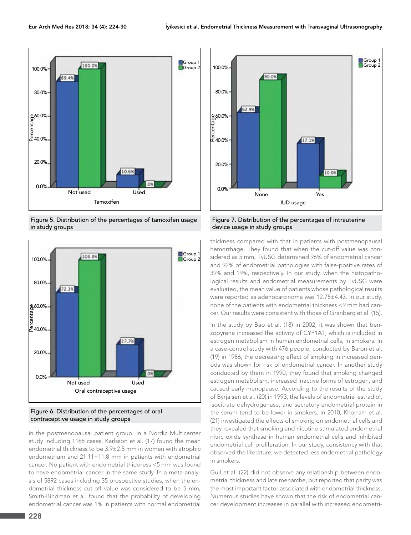

Figure 5. Distribution of the percentages of tamoxifen usage in study groups



#### Figure 6. Distribution of the percentages of oral contraceptive usage in study groups

in the postmenopausal patient group. In a Nordic Multicenter study including 1168 cases, Karlsson et al. (17) found the mean endometrial thickness to be 3.9±2.5 mm in women with atrophic endometrium and 21.11+11.8 mm in patients with endometrial cancer. No patient with endometrial thickness <5 mm was found to have endometrial cancer in the same study. In a meta-analysis of 5892 cases including 35 prospective studies, when the endometrial thickness cut-off value was considered to be 5 mm, Smith-Bindman et al. found that the probability of developing endometrial cancer was 1% in patients with normal endometrial



Figure 7. Distribution of the percentages of intrauterine device usage in study groups

thickness compared with that in patients with postmenopausal hemorrhage. They found that when the cut-off value was considered as 5 mm, TvUSG determined 96% of endometrial cancer and 92% of endometrial pathologies with false-positive rates of 39% and 19%, respectively. In our study, when the histopathological results and endometrial measurements by TvUSG were evaluated, the mean value of patients whose pathological results were reported as adenocarcinoma was 12.75±4.43. In our study, none of the patients with endometrial thickness <9 mm had cancer. Our results were consistent with those of Granberg et al. (15).

In the study by Bao et al. (18) in 2002, it was shown that benzopyrene increased the activity of CYP1A1, which is included in estrogen metabolism in human endometrial cells, in smokers. In a case-control study with 476 people, conducted by Baron et al. (19) in 1986, the decreasing effect of smoking in increased periods was shown for risk of endometrial cancer. In another study conducted by them in 1990, they found that smoking changed estrogen metabolism, increased inactive forms of estrogen, and caused early menopause. According to the results of the study of Byrjalsen et al. (20) in 1993, the levels of endometrial estradiol, isocitrate dehydrogenase, and secretory endometrial protein in the serum tend to be lower in smokers. In 2010, Khorram et al. (21) investigated the effects of smoking on endometrial cells and they revealed that smoking and nicotine stimulated endometrial nitric oxide synthase in human endometrial cells and inhibited endometrial cell proliferation. In our study, consistency with that observed the literature, we detected less endometrial pathology in smokers.

Gull et al. (22) did not observe any relationship between endometrial thickness and late menarche, but reported that parity was the most important factor associated with endometrial thickness. Numerous studies have shown that the risk of endometrial cancer development increases in parallel with increased endometri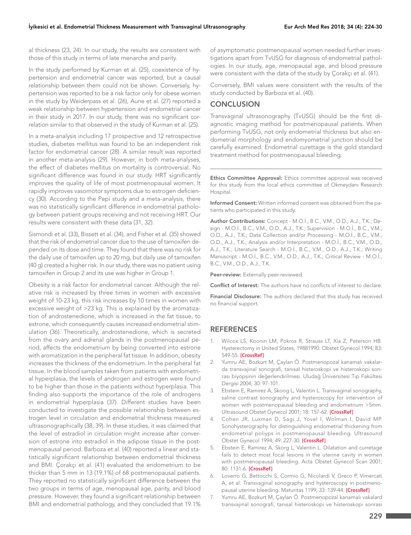al thickness (23, 24). In our study, the results are consistent with those of this study in terms of late menarche and parity.

In the study performed by Kurman et al. (25), coexistence of hypertension and endometrial cancer was reported, but a causal relationship between them could not be shown. Conversely, hypertension was reported to be a risk factor only for obese women in the study by Weiderpass et al. (26), Aune et al. (27) reported a weak relationship between hypertension and endometrial cancer in their study in 2017. In our study, there was no significant correlation similar to that observed in the study of Kurman et al. (25).

In a meta-analysis including 17 prospective and 12 retrospective studies, diabetes mellitus was found to be an independent risk factor for endometrial cancer (28). A similar result was reported in another meta-analysis (29). However, in both meta-analyses, the effect of diabetes mellitus on mortality is controversial. No significant difference was found in our study. HRT significantly improves the quality of life of most postmenopausal women. It rapidly improves vasomotor symptoms due to estrogen deficiency (30). According to the Pepi study and a meta-analysis, there was no statistically significant difference in endometrial pathology between patient groups receiving and not receiving HRT. Our results were consistent with these data (31, 32).

Sismondi et al. (33), Bissett et al. (34), and Fisher et al. (35) showed that the risk of endometrial cancer due to the use of tamoxifen depended on its dose and time. They found that there was no risk for the daily use of tamoxifen up to 20 mg, but daily use of tamoxifen (40 g) created a higher risk. In our study, there was no patient using tamoxifen in Group 2 and its use was higher in Group 1.

Obesity is a risk factor for endometrial cancer. Although the relative risk is increased by three times in women with excessive weight of 10-23 kg, this risk increases by 10 times in women with excessive weight of >23 kg. This is explained by the aromatization of androstenedione, which is increased in the fat tissue, to estrone, which consequently causes increased endometrial stimulation (36). Theoretically, androstenedione, which is secreted from the ovary and adrenal glands in the postmenopausal period, affects the endometrium by being converted into estrone with aromatization in the peripheral fat tissue. In addition, obesity increases the thickness of the endometrium. In the peripheral fat tissue. In the blood samples taken from patients with endometrial hyperplasia, the levels of androgen and estrogen were found to be higher than those in the patients without hyperplasia. This finding also supports the importance of the role of androgens in endometrial hyperplasia (37). Different studies have been conducted to investigate the possible relationship between estrogen level in circulation and endometrial thickness measured ultrasonographically (38, 39). In these studies, it was claimed that the level of estradiol in circulation might increase after conversion of estrone into estradiol in the adipose tissue in the postmenopausal period. Barboza et al. (40) reported a linear and statistically significant relationship between endometrial thickness and BMI. Çorakçı et al. (41) evaluated the endometrium to be thicker than 5 mm in 13 (19.1%) of 68 postmenopausal patients. They reported no statistically significant difference between the two groups in terms of age, menopausal age, parity, and blood pressure. However, they found a significant relationship between BMI and endometrial pathology, and they concluded that 19.1%

of asymptomatic postmenopausal women needed further investigations apart from TvUSG for diagnosis of endometrial pathologies. In our study, age, menopausal age, and blood pressure were consistent with the data of the study by Çorakçı et al. (41).

Conversely, BMI values were consistent with the results of the study conducted by Barboza et al. (40).

#### **CONCLUSION**

Transvaginal ultrasonography (TvUSG) should be the first diagnostic imaging method for postmenopausal patients. When performing TvUSG, not only endometrial thickness but also endometrial morphology and endomyometrial junction should be carefully examined. Endometrial curettage is the gold standard treatment method for postmenopausal bleeding.

Ethics Committee Approval: Ethics committee approval was received for this study from the local ethics committee of Okmeydanı Research Hospital.

Informed Consent: Written informed consent was obtained from the patients who participated in this study.

Author Contributions: Concept - M.O.İ., B.C., V.M., O.D., A.J., T.K.; Design - M.O.İ., B.C., V.M., O.D., A.J., T.K.; Supervision - M.O.İ., B.C., V.M., O.D., A.J., T.K.; Data Collection and/or Processing - M.O.İ., B.C., V.M., O.D., A.J., T.K.; Analysis and/or Interpretation - M.O.İ., B.C., V.M., O.D., A.J., T.K.; Literature Search - M.O.İ., B.C., V.M., O.D., A.J., T.K.; Writing Manuscript - M.O.İ., B.C., V.M., O.D., A.J., T.K.; Critical Review - M.O.İ., B.C., V.M., O.D., A.J., T.K.

Peer-review: Externally peer-reviewed.

Conflict of Interest: The authors have no conflicts of interest to declare.

Financial Disclosure: The authors declared that this study has received no financial support.

#### **REFERENCES**

- 1. Wilcox LS, Koonin LM, Pokros R, Strauss LT, Xia Z, Peterson HB. Hysterectomy in United States, 19881990. Obstet Gynecol 1994; 83: 549-55. **[\[CrossRef\]](https://doi.org/10.1097/00006250-199404000-00011)**
- 2. Yumru AE, Bozkurt M, Çaylan Ö. Postmenopozal kanamalı vakalarda transvajinal sonografi, tanısal histeroskopi ve histeroskopi sonrası biyopsinin değerlendirilmesi. Uludağ Üniversitesi Tıp Fakültesi Dergisi 2004; 30: 97-101.
- 3. Ebstein E, Ramirez A, Skoog L, Valentin L. Transvaginal sonography, saline contrast sonography and hysteroscopy for intervention of women with postmenopausal bleeding and endometrium >5mm. Ultrasound Obstet Gynecol 2001; 18: 157-62. **[\[CrossRef\]](https://doi.org/10.1046/j.1469-0705.2001.00472.x)**
- 4. Cohen JR, Luxman D, Sagi J, Yovel I, Wolman I, David MP. Sonohysterography for distinguishing endometrial thickening from endometrial poliyps in postmenopausal bleeding. Ultrasound Obstet Gynecol 1994; 49: 227-30. **[\[CrossRef\]](https://doi.org/10.1046/j.1469-0705.1994.04030227.x)**
- 5. Ebstein E, Ramirez A, Skorg L, Valentin L. Dilatation and curretage fails to detect most focal lesions in the uterine cavity in women with postmenopausal bleeding. Acta Obstet Gynecol Scan 2001; 80: 1131-6. **[\[CrossRef\]](https://doi.org/10.1034/j.1600-0412.2001.801210.x)**
- 6. Loverro G, Bettocchi S, Cormio G, Nicolardi V, Greco P, Vimercati A, et al. Transvaginal sonography and hysteroscopy in postmenopausal uterine bleeding. Maturitas 1199; 33: 139-44. **[\[CrossRef\]](https://doi.org/10.1016/S0378-5122(99)00023-7)**
- 7. Yumru AE, Bozkurt M, Çaylan Ö. Postmenopozal kanamalı vakalard transvajinal sonografi, tanısal histeroskopi ve histeroskopi sonrası